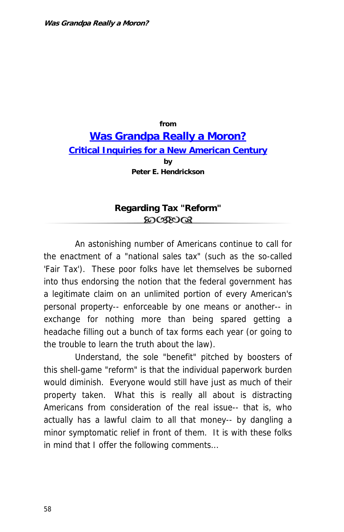## **from [Was Grandpa Really a Moron?](http://www.losthorizons.com/WGRAM.htm) [Critical Inquiries for a New American Century](http://www.losthorizons.com/WGRAM.htm) by Peter E. Hendrickson**

## **Regarding Tax "Reform"** ෨ശയര

An astonishing number of Americans continue to call for the enactment of a "national sales tax" (such as the so-called 'Fair Tax'). These poor folks have let themselves be suborned into thus endorsing the notion that the federal government has a legitimate claim on an unlimited portion of every American's personal property-- enforceable by one means or another-- in exchange for nothing more than being spared getting a headache filling out a bunch of tax forms each year (or going to the trouble to learn the truth about the law).

Understand, the sole "benefit" pitched by boosters of this shell-game "reform" is that the individual paperwork burden would diminish. Everyone would still have just as much of their property taken. What this is really all about is distracting Americans from consideration of the real issue-- that is, who actually has a lawful claim to all that money-- by dangling a minor symptomatic relief in front of them. It is with these folks in mind that I offer the following comments...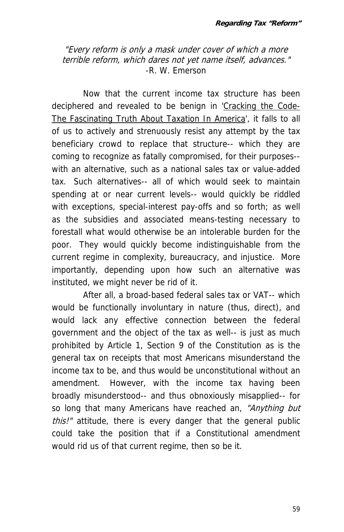"Every reform is only a mask under cover of which a more terrible reform, which dares not yet name itself, advances." -R. W. Emerson

Now that the current income tax structure has been deciphered and revealed to be benign in 'Cracking the Code-The Fascinating Truth About Taxation In America', it falls to all of us to actively and strenuously resist any attempt by the tax beneficiary crowd to replace that structure-- which they are coming to recognize as fatally compromised, for their purposes- with an alternative, such as a national sales tax or value-added tax. Such alternatives-- all of which would seek to maintain spending at or near current levels-- would quickly be riddled with exceptions, special-interest pay-offs and so forth; as well as the subsidies and associated means-testing necessary to forestall what would otherwise be an intolerable burden for the poor. They would quickly become indistinguishable from the current regime in complexity, bureaucracy, and injustice. More importantly, depending upon how such an alternative was instituted, we might never be rid of it.

After all, a broad-based federal sales tax or VAT-- which would be functionally involuntary in nature (thus, direct), and would lack any effective connection between the federal government and the object of the tax as well-- is just as much prohibited by Article 1, Section 9 of the Constitution as is the general tax on receipts that most Americans misunderstand the income tax to be, and thus would be unconstitutional without an amendment. However, with the income tax having been broadly misunderstood-- and thus obnoxiously misapplied-- for so long that many Americans have reached an, "Anything but this!" attitude, there is every danger that the general public could take the position that if a Constitutional amendment would rid us of that current regime, then so be it.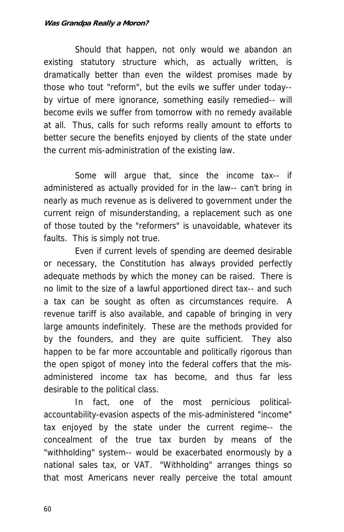## **Was Grandpa Really a Moron?**

Should that happen, not only would we abandon an existing statutory structure which, as actually written, is dramatically better than even the wildest promises made by those who tout "reform", but the evils we suffer under today- by virtue of mere ignorance, something easily remedied-- will become evils we suffer from tomorrow with no remedy available at all. Thus, calls for such reforms really amount to efforts to better secure the benefits enjoyed by clients of the state under the current mis-administration of the existing law.

Some will argue that, since the income tax-- if administered as actually provided for in the law-- can't bring in nearly as much revenue as is delivered to government under the current reign of misunderstanding, a replacement such as one of those touted by the "reformers" is unavoidable, whatever its faults. This is simply not true.

Even if current levels of spending are deemed desirable or necessary, the Constitution has always provided perfectly adequate methods by which the money can be raised. There is no limit to the size of a lawful apportioned direct tax-- and such a tax can be sought as often as circumstances require. A revenue tariff is also available, and capable of bringing in very large amounts indefinitely. These are the methods provided for by the founders, and they are quite sufficient. They also happen to be far more accountable and politically rigorous than the open spigot of money into the federal coffers that the misadministered income tax has become, and thus far less desirable to the political class.

In fact, one of the most pernicious politicalaccountability-evasion aspects of the mis-administered "income" tax enjoyed by the state under the current regime-- the concealment of the true tax burden by means of the "withholding" system-- would be exacerbated enormously by a national sales tax, or VAT. "Withholding" arranges things so that most Americans never really perceive the total amount

60